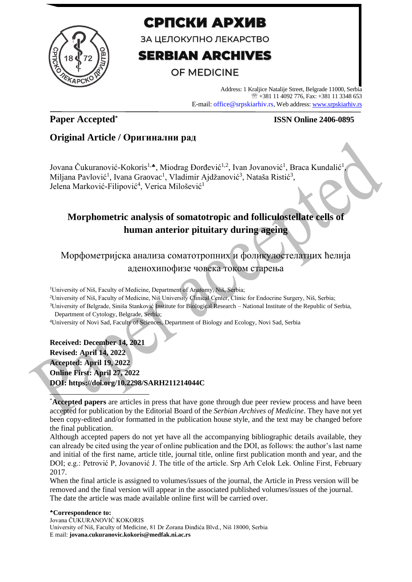

# СРПСКИ АРХИВ

ЗА ЦЕЛОКУПНО ЛЕКАРСТВО

# **SERBIAN ARCHIVES**

# **OF MEDICINE**

Address: 1 Kraljice Natalije Street, Belgrade 11000, Serbia +381 11 4092 776, Fax: +381 11 3348 653 E-mail: office@srpskiarhiv.rs, Web address[: www.srpskiarhiv.rs](http://www.srpskiarhiv.rs/)

## **Paper Accepted\***

### **ISSN Online 2406-0895**

### **Original Article / Оригинални рад**

Jovana Čukuranović-Kokoris<sup>1,</sup>\*, Miodrag Đorđević<sup>1,2</sup>, Ivan Jovanović<sup>1</sup>, Braca Kundalić<sup>1</sup> , Miljana Pavlović<sup>1</sup>, Ivana Graovac<sup>1</sup>, Vladimir Ajdžanović<sup>3</sup>, Nataša Ristić<sup>3</sup>, Jelena Marković-Filipović<sup>4</sup>, Verica Milošević<sup>1</sup>

## **Morphometric analysis of somatotropic and folliculostellate cells of human anterior pituitary during ageing**

Морфометријска анализа соматотропних и фоликулостелатних ћелија аденохипофизе човека током старења

<sup>1</sup>University of Niš, Faculty of Medicine, Department of Anatomy, Niš, Serbia;

<sup>2</sup>University of Niš, Faculty of Medicine, Niš University Clinical Center, Clinic for Endocrine Surgery, Niš, Serbia;

<sup>3</sup>University of Belgrade, Siniša Stanković Institute for Biological Research – National Institute of the Republic of Serbia, Department of Cytology, Belgrade, Serbia;

<sup>4</sup>University of Novi Sad, Faculty of Sciences, Department of Biology and Ecology, Novi Sad, Serbia

**Received: December 14, 2021 Revised: April 14, 2022 Accepted: April 19, 2022 Online First: April 27, 2022 DOI: https://doi.org/10.2298/SARH211214044C**

\***Accepted papers** are articles in press that have gone through due peer review process and have been accepted for publication by the Editorial Board of the *Serbian Archives of Medicine*. They have not yet been copy-edited and/or formatted in the publication house style, and the text may be changed before the final publication.

Although accepted papers do not yet have all the accompanying bibliographic details available, they can already be cited using the year of online publication and the DOI, as follows: the author's last name and initial of the first name, article title, journal title, online first publication month and year, and the DOI; e.g.: Petrović P, Jovanović J. The title of the article. Srp Arh Celok Lek. Online First, February 2017.

When the final article is assigned to volumes/issues of the journal, the Article in Press version will be removed and the final version will appear in the associated published volumes/issues of the journal. The date the article was made available online first will be carried over.

#### **Correspondence to:**

Jovana ČUKURANOVIĆ KOKORIS University of Niš, Faculty of Medicine, 81 Dr Zorana Đinđića Blvd., Niš 18000, Serbia E mail: **jovana.cukuranovic.kokoris@medfak.ni.ac.rs**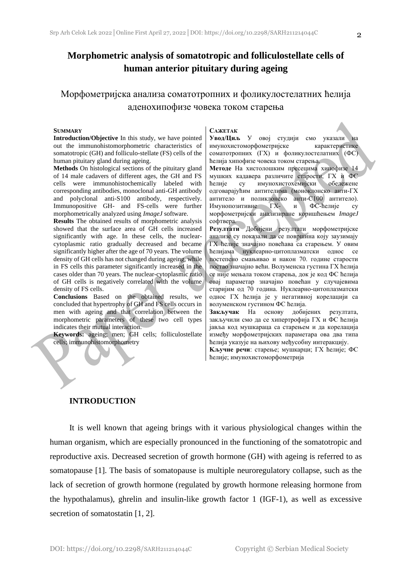### **Morphometric analysis of somatotropic and folliculostellate cells of human anterior pituitary during ageing**

### Морфометријска анализа соматотропних и фоликулостелатних ћелија аденохипофизе човека током старења

#### **SUMMARY**

**Introduction/Objective** In this study, we have pointed out the immunohistomorphometric characteristics of somatotropic (GH) and folliculo-stellate (FS) cells of the human pituitary gland during ageing.

**Methods** On histological sections of the pituitary gland of 14 male cadavers of different ages, the GH and FS cells were immunohistochemically labeled with corresponding antibodies, monoclonal anti-GH antibody and polyclonal anti-S100 antibody, respectively. Immunopositive GH- and FS-cells were further morphometrically analyzed using *ImageJ* software.

**Results** The obtained results of morphometric analysis showed that the surface area of GH cells increased significantly with age. In these cells, the nuclearcytoplasmic ratio gradually decreased and became significantly higher after the age of 70 years. The volume density of GH cells has not changed during ageing, while in FS cells this parameter significantly increased in the cases older than 70 years. The nuclear-cytoplasmic ratio of GH cells is negatively correlated with the volume density of FS cells.

**Conclusions** Based on the obtained results, we concluded that hypertrophy of GH and FS cells occurs in men with ageing and that correlation between the morphometric parameters of these two cell types indicates their mutual interaction.

**Keywords:** ageing; men; GH cells; folliculostellate cells; immunohistomorphometry

#### **САЖЕТАК**

**Увод/Циљ** У овој студији смо указали на имунохистоморфометријске карактеристике соматотропних (ГХ) и фоликулостелатних (ФС) ћелија хипофизе човека током старења.

**Методе** На хистолошким пресецима хипофизе 14 мушких кадавера различите старости, ГХ и ФС ћелије су имунохистохемијски обележене одговарајућим антителима (моноклонско анти-ГХ антитело и поликлонско анти-С100 антитело). Имунопозитивне ГХ- и ФС-ћелије су морфометријски анализиране коришћењем *ImageJ* софтвера.

**Резултати** Добијени резултати морфометријске анализе су показали да се површина коју заузимају ГХ ћелије значајно повећава са старењем. У овим ћелијама нуклеарно-цитоплазматски однос се постепено смањивао и након 70. године старости постао значајно већи. Волуменска густина ГХ ћелија се није мењала током старења, док је код ФС ћелија овај параметар значајно повећан у случајевима старијим од 70 година. Нуклеарно-цитоплазматски однос ГХ ћелија је у негативној корелацији са волуменском густином ФС ћелија.

**Закључак** На основу добијених резултата, закључили смо да се хипертрофија ГХ и ФС ћелија јавља код мушкараца са старењем и да корелација између морфометријских параметара ова два типа ћелија указује на њихову међусобну интеракцију.

**Kључне речи**: старење; мушкарци; ГХ ћелије; ФС ћелије; имунохистоморфометрија

#### **INTRODUCTION**

It is well known that ageing brings with it various physiological changes within the human organism, which are especially pronounced in the functioning of the somatotropic and reproductive axis. Decreased secretion of growth hormone (GH) with ageing is referred to as somatopause [1]. The basis of somatopause is multiple neuroregulatory collapse, such as the lack of secretion of growth hormone (regulated by growth hormone releasing hormone from the hypothalamus), ghrelin and insulin-like growth factor 1 (IGF-1), as well as excessive secretion of somatostatin [1, 2].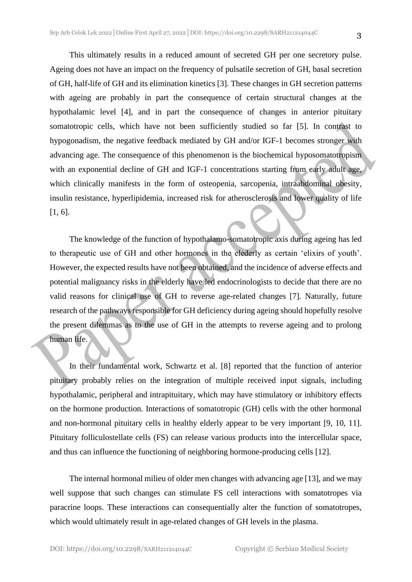This ultimately results in a reduced amount of secreted GH per one secretory pulse. Ageing does not have an impact on the frequency of pulsatile secretion of GH, basal secretion of GH, half-life of GH and its elimination kinetics [3]. These changes in GH secretion patterns with ageing are probably in part the consequence of certain structural changes at the hypothalamic level [4], and in part the consequence of changes in anterior pituitary somatotropic cells, which have not been sufficiently studied so far [5]. In contrast to hypogonadism, the negative feedback mediated by GH and/or IGF-1 becomes stronger with advancing age. The consequence of this phenomenon is the biochemical hyposomatotropism with an exponential decline of GH and IGF-1 concentrations starting from early adult age, which clinically manifests in the form of osteopenia, sarcopenia, intraabdominal obesity, insulin resistance, hyperlipidemia, increased risk for atherosclerosis and lower quality of life [1, 6].

The knowledge of the function of hypothalamo-somatotropic axis during ageing has led to therapeutic use of GH and other hormones in the elederly as certain 'elixirs of youth'. However, the expected results have not been obtained, and the incidence of adverse effects and potential malignancy risks in the elderly have led endocrinologists to decide that there are no valid reasons for clinical use of GH to reverse age-related changes [7]. Naturally, future research of the pathways responsible for GH deficiency during ageing should hopefully resolve the present dilemmas as to the use of GH in the attempts to reverse ageing and to prolong human life.

In their fundamental work, Schwartz et al. [8] reported that the function of anterior pituitary probably relies on the integration of multiple received input signals, including hypothalamic, peripheral and intrapituitary, which may have stimulatory or inhibitory effects on the hormone production. Interactions of somatotropic (GH) cells with the other hormonal and non-hormonal pituitary cells in healthy elderly appear to be very important [9, 10, 11]. Pituitary folliculostellate cells (FS) can release various products into the intercellular space, and thus can influence the functioning of neighboring hormone-producing cells [12].

The internal hormonal milieu of older men changes with advancing age [13], and we may well suppose that such changes can stimulate FS cell interactions with somatotropes via paracrine loops. These interactions can consequentially alter the function of somatotropes, which would ultimately result in age-related changes of GH levels in the plasma.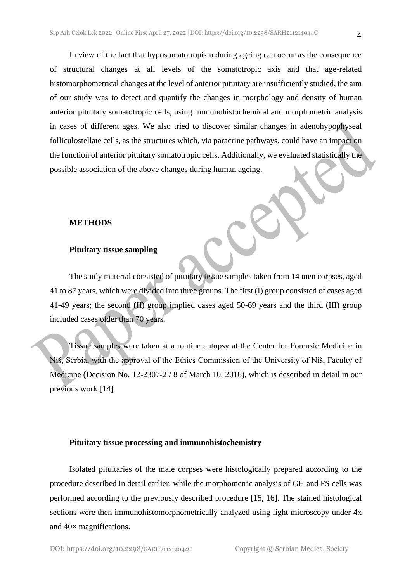In view of the fact that hyposomatotropism during ageing can occur as the consequence of structural changes at all levels of the somatotropic axis and that age-related histomorphometrical changes at the level of anterior pituitary are insufficiently studied, the aim of our study was to detect and quantify the changes in morphology and density of human anterior pituitary somatotropic cells, using immunohistochemical and morphometric analysis in cases of different ages. We also tried to discover similar changes in adenohypophyseal folliculostellate cells, as the structures which, via paracrine pathways, could have an impact on the function of anterior pituitary somatotropic cells. Additionally, we evaluated statistically the possible association of the above changes during human ageing.

#### **METHODS**

#### **Pituitary tissue sampling**

The study material consisted of pituitary tissue samples taken from 14 men corpses, aged 41 to 87 years, which were divided into three groups. The first (I) group consisted of cases aged 41-49 years; the second (II) group implied cases aged 50-69 years and the third (III) group included cases older than 70 years.

Tissue samples were taken at a routine autopsy at the Center for Forensic Medicine in Niš, Serbia, with the approval of the Ethics Commission of the University of Niš, Faculty of Medicine (Decision No. 12-2307-2 / 8 of March 10, 2016), which is described in detail in our previous work [14].

#### **Pituitary tissue processing and immunohistochemistry**

Isolated pituitaries of the male corpses were histologically prepared according to the procedure described in detail earlier, while the morphometric analysis of GH and FS cells was performed according to the previously described procedure [15, 16]. The stained histological sections were then immunohistomorphometrically analyzed using light microscopy under 4x and 40× magnifications.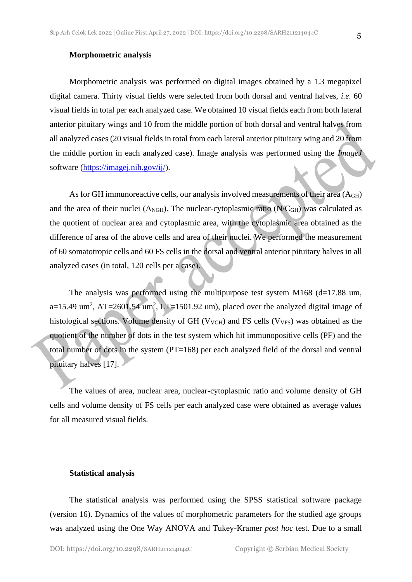#### **Morphometric analysis**

Morphometric analysis was performed on digital images obtained by a 1.3 megapixel digital camera. Thirty visual fields were selected from both dorsal and ventral halves, *i.e.* 60 visual fields in total per each analyzed case. We obtained 10 visual fields each from both lateral anterior pituitary wings and 10 from the middle portion of both dorsal and ventral halves from all analyzed cases (20 visual fields in total from each lateral anterior pituitary wing and 20 from the middle portion in each analyzed case). Image analysis was performed using the *ImageJ*  software [\(https://imagej.nih.gov/ij/\)](https://imagej.nih.gov/ij/).

As for GH immunoreactive cells, our analysis involved measurements of their area (AGH) and the area of their nuclei ( $A_{\text{NGH}}$ ). The nuclear-cytoplasmic ratio ( $N/C_{\text{GH}}$ ) was calculated as the quotient of nuclear area and cytoplasmic area, with the cytoplasmic area obtained as the difference of area of the above cells and area of their nuclei. We performed the measurement of 60 somatotropic cells and 60 FS cells in the dorsal and ventral anterior pituitary halves in all analyzed cases (in total, 120 cells per a case).

The analysis was performed using the multipurpose test system M168 ( $d=17.88$  um,  $a=15.49$  um<sup>2</sup>, AT=2601.54 um<sup>2</sup>, LT=1501.92 um), placed over the analyzed digital image of histological sections. Volume density of GH ( $V_{VGH}$ ) and FS cells ( $V_{VFS}$ ) was obtained as the quotient of the number of dots in the test system which hit immunopositive cells (PF) and the total number of dots in the system (PT=168) per each analyzed field of the dorsal and ventral pituitary halves [17].

The values of area, nuclear area, nuclear-cytoplasmic ratio and volume density of GH cells and volume density of FS cells per each analyzed case were obtained as average values for all measured visual fields.

#### **Statistical analysis**

The statistical analysis was performed using the SPSS statistical software package (version 16). Dynamics of the values of morphometric parameters for the studied age groups was analyzed using the One Way ANOVA and Tukey-Kramer *post hoc* test. Due to a small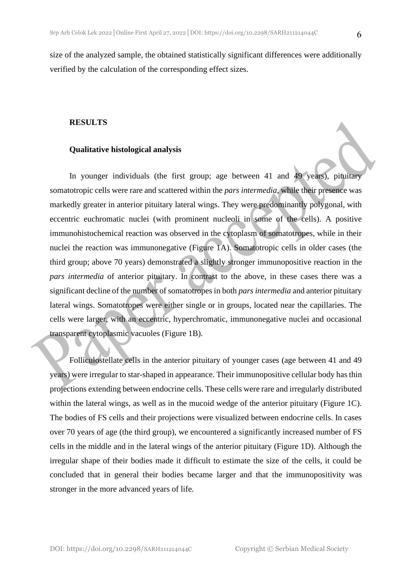size of the analyzed sample, the obtained statistically significant differences were additionally verified by the calculation of the corresponding effect sizes.

#### **RESULTS**

#### **Qualitative histological analysis**

In younger individuals (the first group; age between 41 and 49 years), pituitary somatotropic cells were rare and scattered within the *pars intermedia,* while their presence was markedly greater in anterior pituitary lateral wings. They were predominantly polygonal, with eccentric euchromatic nuclei (with prominent nucleoli in some of the cells). A positive immunohistochemical reaction was observed in the cytoplasm of somatotropes, while in their nuclei the reaction was immunonegative (Figure 1A). Somatotropic cells in older cases (the third group; above 70 years) demonstrated a slightly stronger immunopositive reaction in the *pars intermedia* of anterior pituitary. In contrast to the above, in these cases there was a significant decline of the number of somatotropes in both *pars intermedia* and anterior pituitary lateral wings. Somatotropes were either single or in groups, located near the capillaries. The cells were larger, with an eccentric, hyperchromatic, immunonegative nuclei and occasional transparent cytoplasmic vacuoles (Figure 1B).

Folliculostellate cells in the anterior pituitary of younger cases (age between 41 and 49 years) were irregular to star-shaped in appearance. Their immunopositive cellular body has thin projections extending between endocrine cells. These cells were rare and irregularly distributed within the lateral wings, as well as in the mucoid wedge of the anterior pituitary (Figure 1C). The bodies of FS cells and their projections were visualized between endocrine cells. In cases over 70 years of age (the third group), we encountered a significantly increased number of FS cells in the middle and in the lateral wings of the anterior pituitary (Figure 1D). Although the irregular shape of their bodies made it difficult to estimate the size of the cells, it could be concluded that in general their bodies became larger and that the immunopositivity was stronger in the more advanced years of life.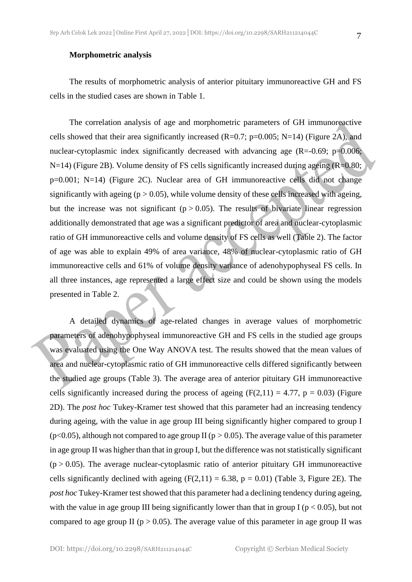#### **Morphometric analysis**

The results of morphometric analysis of anterior pituitary immunoreactive GH and FS cells in the studied cases are shown in Table 1.

The correlation analysis of age and morphometric parameters of GH immunoreactive cells showed that their area significantly increased  $(R=0.7; p=0.005; N=14)$  (Figure 2A), and nuclear-cytoplasmic index significantly decreased with advancing age  $(R=0.69; p=0.006;$ N=14) (Figure 2B). Volume density of FS cells significantly increased during ageing (R=0.80; p=0.001; N=14) (Figure 2C). Nuclear area of GH immunoreactive cells did not change significantly with ageing ( $p > 0.05$ ), while volume density of these cells increased with ageing, but the increase was not significant ( $p > 0.05$ ). The results of bivariate linear regression additionally demonstrated that age was a significant predictor of area and nuclear-cytoplasmic ratio of GH immunoreactive cells and volume density of FS cells as well (Table 2). The factor of age was able to explain 49% of area variance, 48% of nuclear-cytoplasmic ratio of GH immunoreactive cells and 61% of volume density variance of adenohypophyseal FS cells. In all three instances, age represented a large effect size and could be shown using the models presented in Table 2.

A detailed dynamics of age-related changes in average values of morphometric parameters of adenohypophyseal immunoreactive GH and FS cells in the studied age groups was evaluated using the One Way ANOVA test. The results showed that the mean values of area and nuclear-cytoplasmic ratio of GH immunoreactive cells differed significantly between the studied age groups (Table 3). The average area of anterior pituitary GH immunoreactive cells significantly increased during the process of ageing  $(F(2,11) = 4.77, p = 0.03)$  (Figure 2D). The *post hoc* Tukey-Kramer test showed that this parameter had an increasing tendency during ageing, with the value in age group III being significantly higher compared to group I ( $p$ <0.05), although not compared to age group II ( $p > 0.05$ ). The average value of this parameter in age group II was higher than that in group I, but the difference was not statistically significant  $(p > 0.05)$ . The average nuclear-cytoplasmic ratio of anterior pituitary GH immunoreactive cells significantly declined with ageing  $(F(2,11) = 6.38, p = 0.01)$  (Table 3, Figure 2E). The *post hoc* Tukey-Kramer test showed that this parameter had a declining tendency during ageing, with the value in age group III being significantly lower than that in group I ( $p < 0.05$ ), but not compared to age group II ( $p > 0.05$ ). The average value of this parameter in age group II was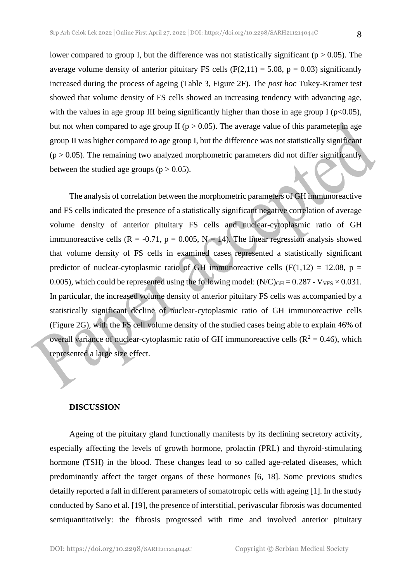lower compared to group I, but the difference was not statistically significant ( $p > 0.05$ ). The average volume density of anterior pituitary FS cells (F(2,11) = 5.08, p = 0.03) significantly increased during the process of ageing (Table 3, Figure 2F). The *post hoc* Tukey-Kramer test showed that volume density of FS cells showed an increasing tendency with advancing age, with the values in age group III being significantly higher than those in age group I ( $p<0.05$ ), but not when compared to age group II ( $p > 0.05$ ). The average value of this parameter in age group II was higher compared to age group I, but the difference was not statistically significant  $(p > 0.05)$ . The remaining two analyzed morphometric parameters did not differ significantly between the studied age groups ( $p > 0.05$ ).

The analysis of correlation between the morphometric parameters of GH immunoreactive and FS cells indicated the presence of a statistically significant negative correlation of average volume density of anterior pituitary FS cells and nuclear-cytoplasmic ratio of GH immunoreactive cells  $(R = -0.71, p = 0.005, N = 14)$ . The linear regression analysis showed that volume density of FS cells in examined cases represented a statistically significant predictor of nuclear-cytoplasmic ratio of GH immunoreactive cells (F(1,12) = 12.08, p = 0.005), which could be represented using the following model:  $(N/C)_{GH} = 0.287 - V_{VFS} \times 0.031$ . In particular, the increased volume density of anterior pituitary FS cells was accompanied by a statistically significant decline of nuclear-cytoplasmic ratio of GH immunoreactive cells (Figure 2G), with the FS cell volume density of the studied cases being able to explain 46% of overall variance of nuclear-cytoplasmic ratio of GH immunoreactive cells ( $R^2 = 0.46$ ), which represented a large size effect.

#### **DISCUSSION**

Ageing of the pituitary gland functionally manifests by its declining secretory activity, especially affecting the levels of growth hormone, prolactin (PRL) and thyroid-stimulating hormone (TSH) in the blood. These changes lead to so called age-related diseases, which predominantly affect the target organs of these hormones [6, 18]. Some previous studies detailly reported a fall in different parameters of somatotropic cells with ageing [1]. In the study conducted by Sano et al. [19], the presence of interstitial, perivascular fibrosis was documented semiquantitatively: the fibrosis progressed with time and involved anterior pituitary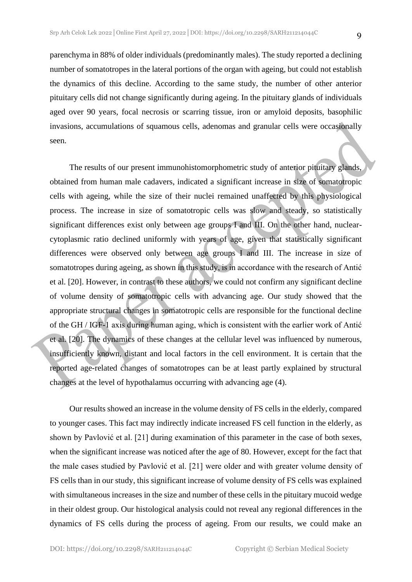parenchyma in 88% of older individuals (predominantly males). The study reported a declining number of somatotropes in the lateral portions of the organ with ageing, but could not establish the dynamics of this decline. According to the same study, the number of other anterior pituitary cells did not change significantly during ageing. In the pituitary glands of individuals aged over 90 years, focal necrosis or scarring tissue, iron or amyloid deposits, basophilic invasions, accumulations of squamous cells, adenomas and granular cells were occasionally seen.

The results of our present immunohistomorphometric study of anterior pituitary glands, obtained from human male cadavers, indicated a significant increase in size of somatotropic cells with ageing, while the size of their nuclei remained unaffected by this physiological process. The increase in size of somatotropic cells was slow and steady, so statistically significant differences exist only between age groups I and III. On the other hand, nuclearcytoplasmic ratio declined uniformly with years of age, given that statistically significant differences were observed only between age groups I and III. The increase in size of somatotropes during ageing, as shown in this study, is in accordance with the research of Antić et al. [20]. However, in contrast to these authors, we could not confirm any significant decline of volume density of somatotropic cells with advancing age. Our study showed that the appropriate structural changes in somatotropic cells are responsible for the functional decline of the GH / IGF-1 axis during human aging, which is consistent with the earlier work of Antić et al. [20]. The dynamics of these changes at the cellular level was influenced by numerous, insufficiently known, distant and local factors in the cell environment. It is certain that the reported age-related changes of somatotropes can be at least partly explained by structural changes at the level of hypothalamus occurring with advancing age (4).

Our results showed an increase in the volume density of FS cells in the elderly, compared to younger cases. This fact may indirectly indicate increased FS cell function in the elderly, as shown by Pavlović et al. [21] during examination of this parameter in the case of both sexes, when the significant increase was noticed after the age of 80. However, except for the fact that the male cases studied by Pavlović et al. [21] were older and with greater volume density of FS cells than in our study, this significant increase of volume density of FS cells was explained with simultaneous increases in the size and number of these cells in the pituitary mucoid wedge in their oldest group. Our histological analysis could not reveal any regional differences in the dynamics of FS cells during the process of ageing. From our results, we could make an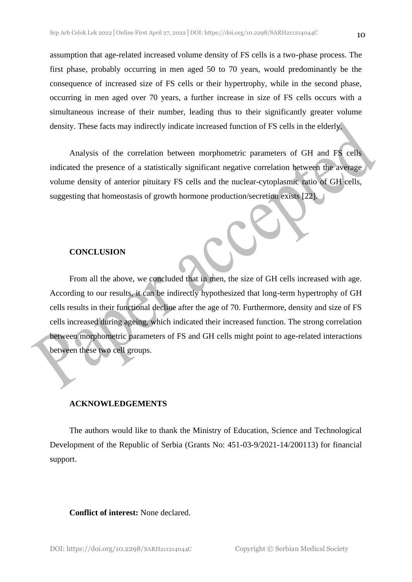10

assumption that age-related increased volume density of FS cells is a two-phase process. The first phase, probably occurring in men aged 50 to 70 years, would predominantly be the consequence of increased size of FS cells or their hypertrophy, while in the second phase, occurring in men aged over 70 years, a further increase in size of FS cells occurs with a simultaneous increase of their number, leading thus to their significantly greater volume density. These facts may indirectly indicate increased function of FS cells in the elderly.

Analysis of the correlation between morphometric parameters of GH and FS cells indicated the presence of a statistically significant negative correlation between the average volume density of anterior pituitary FS cells and the nuclear-cytoplasmic ratio of GH cells, suggesting that homeostasis of growth hormone production/secretion exists [22].

#### **CONCLUSION**

From all the above, we concluded that in men, the size of GH cells increased with age. According to our results, it can be indirectly hypothesized that long-term hypertrophy of GH cells results in their functional decline after the age of 70. Furthermore, density and size of FS cells increased during ageing, which indicated their increased function. The strong correlation between morphometric parameters of FS and GH cells might point to age-related interactions between these two cell groups.

#### **ACKNOWLEDGEMENTS**

The authors would like to thank the Ministry of Education, Science and Technological Development of the Republic of Serbia (Grants No: 451-03-9/2021-14/200113) for financial support.

#### **Conflict of interest:** None declared.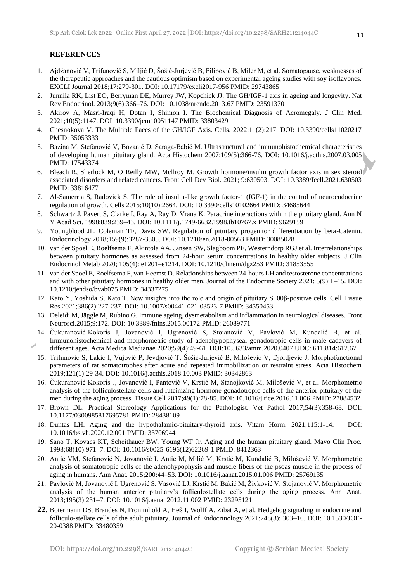#### **REFERENCES**

- 1. Ajdžanović V, Trifunović S, Miljić D, Šošić-Jurjević B, Filipović B, Miler M, et al. Somatopause, weaknesses of the therapeutic approaches and the cautious optimism based on experimental ageing studies with soy isoflavones. EXCLI Journal 2018;17:279-301. DOI: 10.17179/excli2017-956 PMID: 29743865
- 2. Junnila RK, List EO, Berryman DE, Murrey JW, Kopchick JJ. The GH/IGF-1 axis in ageing and longevity. Nat Rev Endocrinol. 2013;9(6):366–76. DOI: 10.1038/nrendo.2013.67 PMID: 23591370
- 3. Akirov A, Masri-Iraqi H, Dotan I, Shimon I. The Biochemical Diagnosis of Acromegaly. J Clin Med. 2021;10(5):1147. DOI: 10.3390/jcm10051147 PMID: 33803429
- 4. Chesnokova V. The Multiple Faces of the GH/IGF Axis. Cells. 2022;11(2):217. DOI: 10.3390/cells11020217 PMID: 35053333
- 5. Bazina M, Stefanović V, Bozanić D, Saraga-Babić M. Ultrastructural and immunohistochemical characteristics of developing human pituitary gland. Acta Histochem 2007;109(5):366-76. DOI: 10.1016/j.acthis.2007.03.005 PMID: 17543374
- 6. Bleach R, Sherlock M, O Reilly MW, Mcllroy M. Growth hormone/insulin growth factor axis in sex steroid associated disorders and related cancers. Front Cell Dev Biol. 2021; 9:630503. DOI: 10.3389/fcell.2021.630503 PMID: 33816477
- 7. Al-Samerria S, Radovick S. The role of insulin-like growth factor-1 (IGF-1) in the control of neuroendocrine regulation of growth. Cells 2015;10(10):2664. DOI: 10.3390/cells10102664 PMID: 34685644
- 8. Schwartz J, Pavert S, Clarke I, Ray A, Ray D, Vrana K. Paracrine interactions within the pituitary gland. Ann N Y Acad Sci. 1998;839:239–43. DOI: 10.1111/j.1749-6632.1998.tb10767.x PMID: 9629159
- 9. Youngblood JL, Coleman TF, Davis SW. Regulation of pituitary progenitor differentiation by beta-Catenin. Endocrinology 2018;159(9):3287-3305. DOI: 10.1210/en.2018-00563 PMID: 30085028
- 10. van der Spoel E, Roelfsema F, Akintola AA, Jansen SW, Slagboom PE, Westerndorp RGJ et al. Interrelationships between pituitary hormones as assessed from 24-hour serum concentrations in healthy older subjects. J Clin Endocrinol Metab 2020; 105(4): e1201–e1214. DOI: 10.1210/clinem/dgz253 PMID: 31853555
- 11. van der Spoel E, Roelfsema F, van Heemst D. Relationships between 24-hours LH and testosterone concentrations and with other pituitary hormones in healthy older men. Journal of the Endocrine Society 2021; 5(9):1–15. DOI: 10.1210/jendso/bvab075 PMID: 34337275
- 12. Kato Y, Yoshida S, Kato T. New insights into the role and origin of pituitary S100β-positive cells. Cell Tissue Res 2021;386(2):227-237. DOI: 10.1007/s00441-021-03523-7 PMID: 34550453
- 13. Deleidi M, Jäggle M, Rubino G. Immune ageing, dysmetabolism and inflammation in neurological diseases. Front Neurosci.2015;9:172. DOI: 10.3389/fnins.2015.00172 PMID: 26089771
- 14. Čukuranović-Kokoris J, Jovanović I, Ugrenović S, Stojanović V, Pavlović M, Kundalić B, et al. Immunohistochemical and morphometric study of adenohypophyseal gonadotropic cells in male cadavers of different ages. Acta Medica Medianae 2020;59(4):49-61. DOI:10.5633/amm.2020.0407 UDC: 611.814:612.67
- 15. Trifunović S, Lakić I, Vujović P, Jevdjović T, Šošić-Jurjević B, Milošević V, Djordjević J. Morphofunctional parameters of rat somatotrophes after acute and repeated immobilization or restraint stress. Acta Histochem 2019;121(1):29-34. DOI: 10.1016/j.acthis.2018.10.003 PMID: 30342863
- 16. Čukuranović Kokoris J, Jovanović I, Pantović V, Krstić M, Stanojković M, Milošević V, et al. Morphometric analysis of the folliculostellate cells and luteinizing hormone gonadotropic cells of the anterior pituitary of the men during the aging process. Tissue Cell 2017;49(1):78-85. DOI: 10.1016/j.tice.2016.11.006 PMID: 27884532
- 17. Brown DL. Practical Stereology Applications for the Pathologist. Vet Pathol 2017;54(3):358-68. DOI: 10.1177/0300985817695781 PMID: 28438109
- 18. Duntas LH. Aging and the hypothalamic-pituitary-thyroid axis. Vitam Horm. 2021;115:1-14. DOI: 10.1016/bs.vh.2020.12.001 PMID: 33706944
- 19. Sano T, Kovacs KT, Scheithauer BW, Young WF Jr. Aging and the human pituitary gland. Mayo Clin Proc. 1993;68(10):971–7. DOI: 10.1016/s0025-6196(12)62269-1 PMID: 8412363
- 20. Antić VM, Stefanović N, Jovanović I, Antić M, Milić M, Krstić M, Kundalić B, Milošević V. Morphometric analysis of somatotropic cells of the adenohypophysis and muscle fibers of the psoas muscle in the process of aging in humans. Ann Anat. 2015;200:44–53. DOI: 10.1016/j.aanat.2015.01.006 PMID: 25769135
- 21. Pavlović M, Jovanović I, Ugrenović S, Vasović LJ, Krstić M, Bakić M, Živković V, Stojanović V. Morphometric analysis of the human anterior pituitary's folliculostellate cells during the aging process. Ann Anat. 2013;195(3):231–7. DOI: 10.1016/j.aanat.2012.11.002 PMID: 23295121
- **22.** Botermann DS, Brandes N, Frommhold A, Heß I, Wolff A, Zibat A, et al. Hedgehog signaling in endocrine and folliculo-stellate cells of the adult pituitary. Journal of Endocrinology 2021;248(3): 303–16. DOI: 10.1530/JOE-20-0388 PMID: 33480359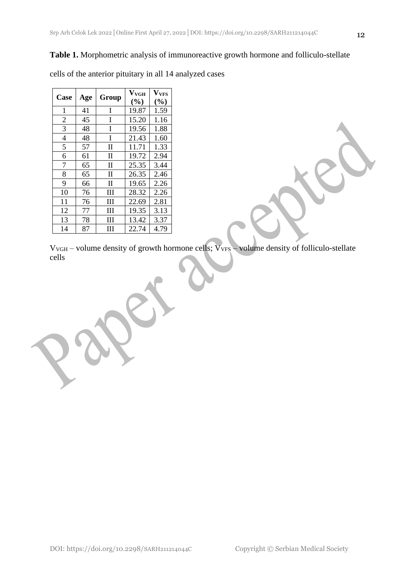#### **Table 1.** Morphometric analysis of immunoreactive growth hormone and folliculo-stellate

| Case           |     | Group        | $\mathbf{V}_{\mathbf{VGH}}$ | $\mathbf{V_{VFS}}$ |  |
|----------------|-----|--------------|-----------------------------|--------------------|--|
|                | Age |              | (%)                         | (%)                |  |
| 1              | 41  | I            | 19.87                       | 1.59               |  |
| $\overline{2}$ | 45  | I            | 15.20                       | 1.16               |  |
| 3              | 48  | I            | 19.56                       | 1.88               |  |
| $\overline{4}$ | 48  | I            | 21.43                       | 1.60               |  |
| 5              | 57  | П            | 11.71                       | 1.33               |  |
| 6              | 61  | П            | 19.72                       | 2.94               |  |
| 7              | 65  | $\mathbf{I}$ | 25.35                       | 3.44               |  |
| 8              | 65  | П            | 26.35                       | 2.46               |  |
| 9              | 66  | П            | 19.65                       | 2.26               |  |
| 10             | 76  | Ш            | 28.32                       | 2.26               |  |
| 11             | 76  | Ш            | 22.69                       | 2.81               |  |
| 12             | 77  | III          | 19.35                       | 3.13               |  |
| 13             | 78  | Ш            | 13.42                       | 3.37               |  |
| 14             | 87  | Ш            | 22.74                       | 4.79               |  |

cells of the anterior pituitary in all 14 analyzed cases

 $V_{VGH}$  – volume density of growth hormone cells;  $V_{VFS}$  – volume density of folliculo-stellate cells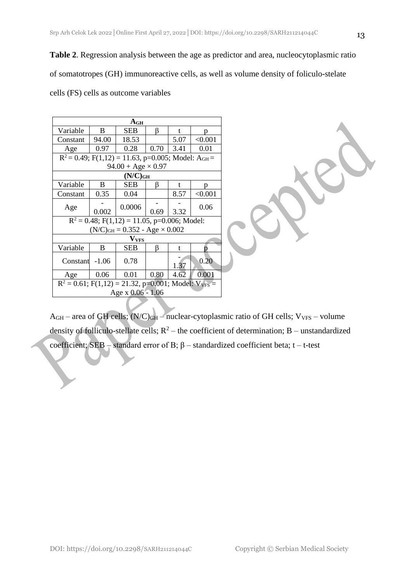**Table 2**. Regression analysis between the age as predictor and area, nucleocytoplasmic ratio

of somatotropes (GH) immunoreactive cells, as well as volume density of foliculo-stelate

cells (FS) cells as outcome variables

| A <sub>GH</sub>                                             |                                                                   |            |      |      |         |  |  |  |
|-------------------------------------------------------------|-------------------------------------------------------------------|------------|------|------|---------|--|--|--|
| Variable                                                    | B                                                                 | SEB        | ß    | t    | p       |  |  |  |
| Constant                                                    | 94.00                                                             | 18.53      |      | 5.07 | < 0.001 |  |  |  |
| Age                                                         | 0.97                                                              | 0.28       | 0.70 | 3.41 | 0.01    |  |  |  |
|                                                             | $R^2 = 0.49$ ; F(1,12) = 11.63, p=0.005; Model: A <sub>GH</sub> = |            |      |      |         |  |  |  |
| $94.00 + Age \times 0.97$                                   |                                                                   |            |      |      |         |  |  |  |
| $(N/C)_{GH}$                                                |                                                                   |            |      |      |         |  |  |  |
| Variable                                                    | B                                                                 | <b>SEB</b> | ß    | t    | n       |  |  |  |
| Constant                                                    | 0.35                                                              | 0.04       |      | 8.57 | < 0.001 |  |  |  |
| Age                                                         |                                                                   | 0.0006     |      |      | 0.06    |  |  |  |
|                                                             | 0.002                                                             |            |      | 3.32 |         |  |  |  |
| $R^2 = 0.48$ ; F(1,12) = 11.05, p=0.006; Model:             |                                                                   |            |      |      |         |  |  |  |
| $(N/C)_{GH} = 0.352 - Age \times 0.002$                     |                                                                   |            |      |      |         |  |  |  |
| $\mathbf{V_{VFS}}$                                          |                                                                   |            |      |      |         |  |  |  |
| Variable                                                    | B                                                                 | SEB        | ß    | t    |         |  |  |  |
| Constant                                                    | $-1.06$                                                           | 0.78       |      | 1.37 | 0.20    |  |  |  |
| Age                                                         | 0.06                                                              | 0.01       | 0.80 | 4.62 | 0.001   |  |  |  |
| $R^2 = 0.61$ ; F(1,12) = 21.32, p=0.001; Model: $V_{VFS}$ = |                                                                   |            |      |      |         |  |  |  |
| Age x 0.06 - 1.06                                           |                                                                   |            |      |      |         |  |  |  |

 $A<sub>GH</sub>$  – area of GH cells;  $(N/C)<sub>GH</sub>$  – nuclear-cytoplasmic ratio of GH cells;  $V<sub>VS</sub>$  – volume density of folliculo-stellate cells;  $R^2$  – the coefficient of determination; B – unstandardized coefficient; SEB – standard error of B; β – standardized coefficient beta; t – t-test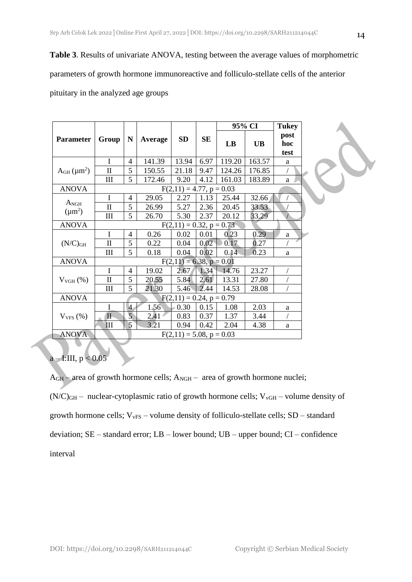03

**Table 3**. Results of univariate ANOVA, testing between the average values of morphometric

parameters of growth hormone immunoreactive and folliculo-stellate cells of the anterior

pituitary in the analyzed age groups

|                              | $\mathbf N$<br>Group          |                |           |                               |                | 95% CI    |                     | <b>Tukey</b> |  |
|------------------------------|-------------------------------|----------------|-----------|-------------------------------|----------------|-----------|---------------------|--------------|--|
| <b>Parameter</b>             |                               | Average        | <b>SD</b> | <b>SE</b>                     | LB             | <b>UB</b> | post<br>hoc<br>test |              |  |
| $AGH$ (µm <sup>2</sup> )     | I                             | 4              | 141.39    | 13.94                         | 6.97           | 119.20    | 163.57              | a            |  |
|                              | $\mathbf{I}$                  | 5              | 150.55    | 21.18                         | 9.47           | 124.26    | 176.85              |              |  |
|                              | III                           | 5              | 172.46    | 9.20                          | 4.12           | 161.03    | 183.89              | a            |  |
| <b>ANOVA</b>                 | $F(2,11) = 4.77$ , $p = 0.03$ |                |           |                               |                |           |                     |              |  |
| $A_{\rm NGH}$<br>$(\mu m^2)$ | I                             | 4              | 29.05     | 2.27                          | 1.13           | 25.44     | 32.66               |              |  |
|                              | $\mathbf{I}$                  | 5              | 26.99     | 5.27                          | 2.36           | 20.45     | 33.53               |              |  |
|                              | III                           | 5              | 26.70     | 5.30                          | 2.37           | 20.12     | 33.29               |              |  |
| <b>ANOVA</b>                 | $F(2,11) = 0.32, p = 0.73$    |                |           |                               |                |           |                     |              |  |
| $(N/C)$ GH                   | I                             | 4              | 0.26      | 0.02                          | 0.01           | 0.23      | 0.29                | a            |  |
|                              | $\mathbf{I}$                  | 5              | 0.22      | 0.04                          | $0.02^{\circ}$ | 0.17      | 0.27                |              |  |
|                              | III                           | 5              | 0.18      | 0.04                          | 0.02           | 0.14      | 0.23                | a            |  |
| <b>ANOVA</b>                 | $F(2,11) = 6.38, p = 0.01$    |                |           |                               |                |           |                     |              |  |
| $V_{VGH} (\%)$               | I                             | 4              | 19.02     | 2.67                          | 1.34           | 14.76     | 23.27               |              |  |
|                              | $\mathbf{I}$                  | 5              | 20.55     | 5.84                          | 2.61           | 13.31     | 27.80               |              |  |
|                              | III                           | 5              | 21.30     | 5.46                          | 2.44           | 14.53     | 28.08               |              |  |
| <b>ANOVA</b>                 | $F(2,11) = 0.24, p = 0.79$    |                |           |                               |                |           |                     |              |  |
| $V_{VFS}$ (%)                | I                             | $\overline{4}$ | 1.56      | $\epsilon$ 0.30               | 0.15           | 1.08      | 2.03                | a            |  |
|                              | $\mathbf{I}$                  | 5              | 2.41      | 0.83                          | 0.37           | 1.37      | 3.44                |              |  |
|                              | III                           | 5              | 3.21      | 0.94                          | 0.42           | 2.04      | 4.38                | a            |  |
| <b>ANOVA</b>                 |                               |                |           | $F(2,11) = 5.08$ , $p = 0.03$ |                |           |                     |              |  |

# $a - I:III, p < 0.05$

AGH – area of growth hormone cells; ANGH – area of growth hormone nuclei;

 $(N/C)_{GH}$  – nuclear-cytoplasmic ratio of growth hormone cells;  $V_{VGH}$  – volume density of growth hormone cells;  $V_{vFS}$  – volume density of folliculo-stellate cells;  $SD$  – standard deviation; SE – standard error; LB – lower bound; UB – upper bound; CI – confidence interval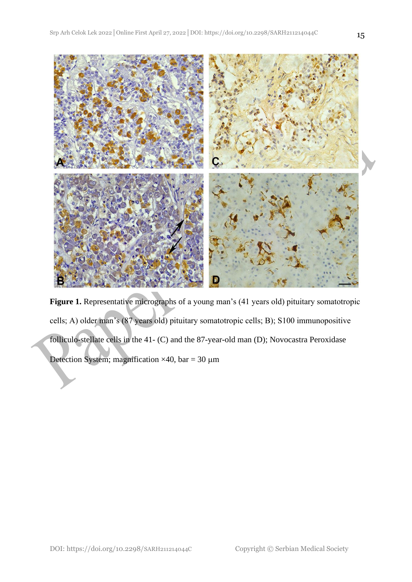

Figure 1. Representative micrographs of a young man's (41 years old) pituitary somatotropic cells; A) older man's (87 years old) pituitary somatotropic cells; B); S100 immunopositive folliculo-stellate cells in the 41- (C) and the 87-year-old man (D); Novocastra Peroxidase Detection System; magnification  $\times$ 40, bar = 30 µm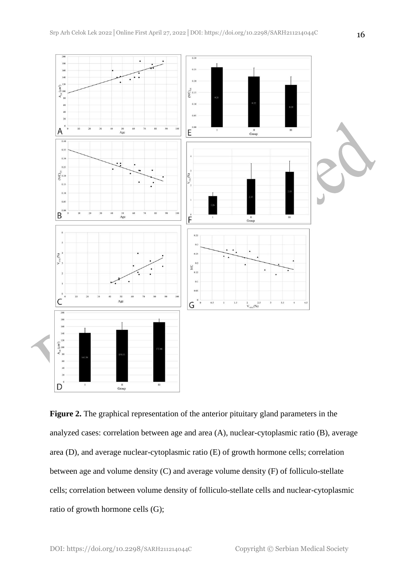

**Figure 2.** The graphical representation of the anterior pituitary gland parameters in the analyzed cases: correlation between age and area (A), nuclear-cytoplasmic ratio (B), average area (D), and average nuclear-cytoplasmic ratio (E) of growth hormone cells; correlation between age and volume density (C) and average volume density (F) of folliculo-stellate cells; correlation between volume density of folliculo-stellate cells and nuclear-cytoplasmic ratio of growth hormone cells (G);